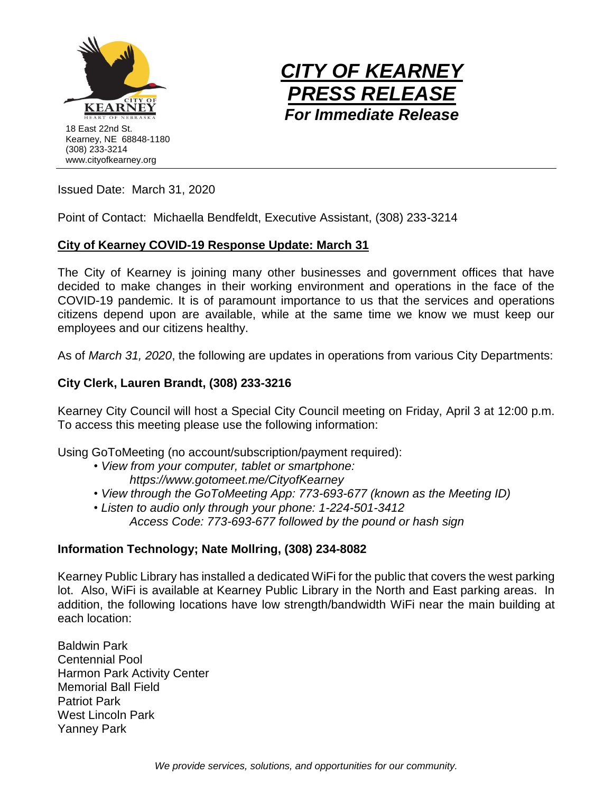



Issued Date: March 31, 2020

Point of Contact: Michaella Bendfeldt, Executive Assistant, (308) 233-3214

#### **City of Kearney COVID-19 Response Update: March 31**

The City of Kearney is joining many other businesses and government offices that have decided to make changes in their working environment and operations in the face of the COVID-19 pandemic. It is of paramount importance to us that the services and operations citizens depend upon are available, while at the same time we know we must keep our employees and our citizens healthy.

As of *March 31, 2020*, the following are updates in operations from various City Departments:

## **City Clerk, Lauren Brandt, (308) 233-3216**

Kearney City Council will host a Special City Council meeting on Friday, April 3 at 12:00 p.m. To access this meeting please use the following information:

Using GoToMeeting (no account/subscription/payment required):

- *• View from your computer, tablet or smartphone: https://www.gotomeet.me/CityofKearney*
- *• View through the GoToMeeting App: 773-693-677 (known as the Meeting ID)*
- *• Listen to audio only through your phone: 1-224-501-3412 Access Code: 773-693-677 followed by the pound or hash sign*

## **Information Technology; Nate Mollring, (308) 234-8082**

Kearney Public Library has installed a dedicated WiFi for the public that covers the west parking lot. Also, WiFi is available at Kearney Public Library in the North and East parking areas. In addition, the following locations have low strength/bandwidth WiFi near the main building at each location:

Baldwin Park Centennial Pool Harmon Park Activity Center Memorial Ball Field Patriot Park West Lincoln Park Yanney Park